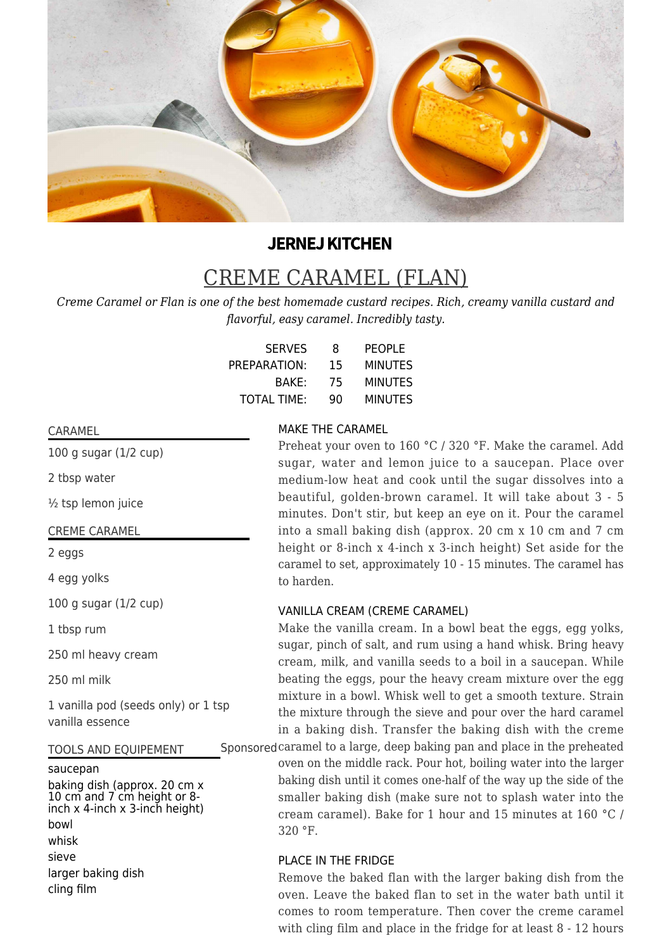

# **JERNEJ KITCHEN**

# CREME CARAMEL (FLAN)

*Creme Caramel or Flan is one of the best homemade custard recipes. Rich, creamy vanilla custard and flavorful, easy caramel. Incredibly tasty.*

| <b>SERVES</b>      | 8  | <b>PEOPLE</b>  |
|--------------------|----|----------------|
| PREPARATION:       | 15 | <b>MINUTES</b> |
| BAKE:              | 75 | <b>MINUTES</b> |
| <b>TOTAL TIME:</b> | 90 | <b>MINUTES</b> |

#### CARAMEL

100 g sugar (1/2 cup)

2 tbsp water

½ tsp lemon juice

#### CREME CARAMEL

2 eggs

4 egg yolks

100 g sugar (1/2 cup)

1 tbsp rum

250 ml heavy cream

250 ml milk

1 vanilla pod (seeds only) or 1 tsp vanilla essence

#### TOOLS AND EQUIPEMENT

#### saucepan

baking dish (approx. 20 cm x 10 cm and 7 cm height or 8 inch x 4-inch x 3-inch height) bowl whisk sieve larger baking dish cling film

### MAKE THE CARAMEL

Preheat your oven to 160 °C / 320 °F. Make the caramel. Add sugar, water and lemon juice to a saucepan. Place over medium-low heat and cook until the sugar dissolves into a beautiful, golden-brown caramel. It will take about 3 - 5 minutes. Don't stir, but keep an eye on it. Pour the caramel into a small baking dish (approx. 20 cm x 10 cm and 7 cm height or 8-inch x 4-inch x 3-inch height) Set aside for the caramel to set, approximately 10 - 15 minutes. The caramel has to harden.

### VANILLA CREAM (CREME CARAMEL)

Make the vanilla cream. In a bowl beat the eggs, egg yolks, sugar, pinch of salt, and rum using a hand whisk. Bring heavy cream, milk, and vanilla seeds to a boil in a saucepan. While beating the eggs, pour the heavy cream mixture over the egg mixture in a bowl. Whisk well to get a smooth texture. Strain the mixture through the sieve and pour over the hard caramel in a baking dish. Transfer the baking dish with the creme

Sponsored caramel to a large, deep baking pan and place in the preheated oven on the middle rack. Pour hot, boiling water into the larger

> baking dish until it comes one-half of the way up the side of the smaller baking dish (make sure not to splash water into the cream caramel). Bake for 1 hour and 15 minutes at 160 °C / 320 °F.

# PLACE IN THE FRIDGE

Remove the baked flan with the larger baking dish from the oven. Leave the baked flan to set in the water bath until it comes to room temperature. Then cover the creme caramel with cling film and place in the fridge for at least 8 - 12 hours